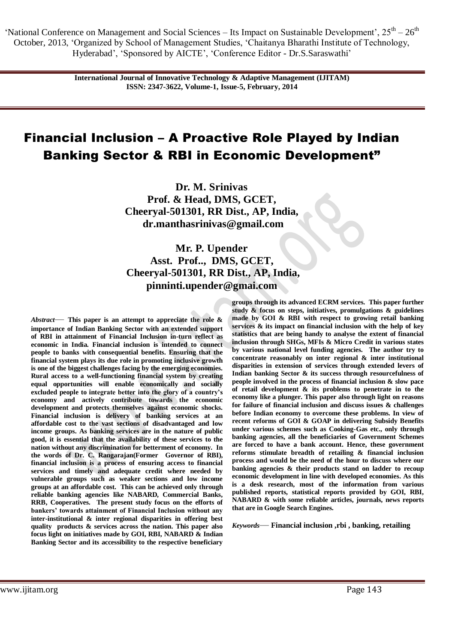> **International Journal of Innovative Technology & Adaptive Management (IJITAM) ISSN: 2347-3622, Volume-1, Issue-5, February, 2014**

# Financial Inclusion – A Proactive Role Played by Indian Banking Sector & RBI in Economic Development"

**Dr. M. Srinivas Prof. & Head, DMS, GCET, Cheeryal-501301, RR Dist., AP, India, [dr.manthasrinivas@gmail.com](mailto:dr.manthasrinivas@gmail.com)**

# **Mr. P. Upender Asst. Prof.., DMS, GCET, Cheeryal-501301, RR Dist., AP, India, [pinninti.upender@gmai.com](mailto:pinninti.upender@gmai.com)**

*Abstract*— **This paper is an attempt to appreciate the role & importance of Indian Banking Sector with an extended support of RBI in attainment of Financial Inclusion in-turn reflect as economic in India. Financial inclusion is intended to connect people to banks with consequential benefits. Ensuring that the financial system plays its due role in promoting inclusive growth is one of the biggest challenges facing by the emerging economies. Rural access to a well-functioning financial system by creating equal opportunities will enable economically and socially excluded people to integrate better into the glory of a country's economy and actively contribute towards the economic development and protects themselves against economic shocks. Financial inclusion is delivery of banking services at an affordable cost to the vast sections of disadvantaged and low income groups. As banking services are in the nature of public good, it is essential that the availability of these services to the nation without any discrimination for betterment of economy. In the words of Dr. C. Rangarajan(Former Governor of RBI), financial inclusion is a process of ensuring access to financial services and timely and adequate credit where needed by vulnerable groups such as weaker sections and low income groups at an affordable cost. This can be achieved only through reliable banking agencies like NABARD, Commercial Banks, RRB, Cooperatives. The present study focus on the efforts of bankers' towards attainment of Financial Inclusion without any inter-institutional & inter regional disparities in offering best quality products & services across the nation. This paper also focus light on initiatives made by GOI, RBI, NABARD & Indian Banking Sector and its accessibility to the respective beneficiary** 

**groups through its advanced ECRM services. This paper further study & focus on steps, initiatives, promulgations & guidelines made by GOI & RBI with respect to growing retail banking services & its impact on financial inclusion with the help of key statistics that are being handy to analyse the extent of financial inclusion through SHGs, MFIs & Micro Credit in various states by various national level funding agencies. The author try to concentrate reasonably on inter regional & inter institutional disparities in extension of services through extended levers of Indian banking Sector & its success through resourcefulness of people involved in the process of financial inclusion & slow pace of retail development & its problems to penetrate in to the economy like a plunger. This paper also through light on reasons for failure of financial inclusion and discuss issues & challenges before Indian economy to overcome these problems. In view of recent reforms of GOI & GOAP in delivering Subsidy Benefits under various schemes such as Cooking-Gas etc., only through banking agencies, all the beneficiaries of Government Schemes are forced to have a bank account. Hence, these government reforms stimulate breadth of retailing & financial inclusion process and would be the need of the hour to discuss where our banking agencies & their products stand on ladder to recoup economic development in line with developed economies. As this is a desk research, most of the information from various published reports, statistical reports provided by GOI, RBI, NABARD & with some reliable articles, journals, news reports that are in Google Search Engines.**

*Keywords*— **Financial inclusion ,rbi , banking, retailing**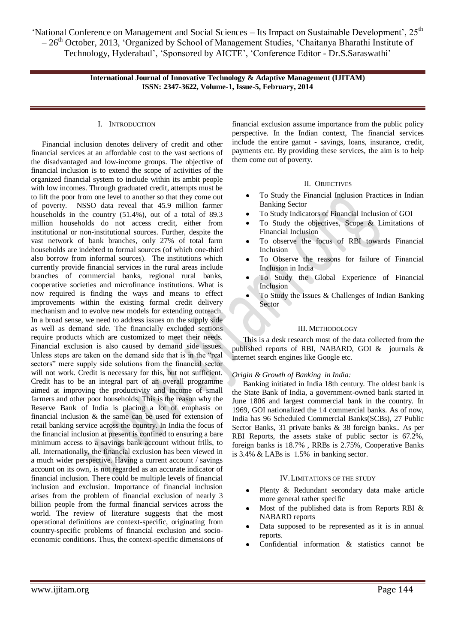> **International Journal of Innovative Technology & Adaptive Management (IJITAM) ISSN: 2347-3622, Volume-1, Issue-5, February, 2014**

#### I. INTRODUCTION

Financial inclusion denotes delivery of credit and other financial services at an affordable cost to the vast sections of the disadvantaged and low-income groups. The objective of financial inclusion is to extend the scope of activities of the organized financial system to include within its ambit people with low incomes. Through graduated credit, attempts must be to lift the poor from one level to another so that they come out of poverty. NSSO data reveal that 45.9 million farmer households in the country (51.4%), out of a total of 89.3 million households do not access credit, either from institutional or non-institutional sources. Further, despite the vast network of bank branches, only 27% of total farm households are indebted to formal sources (of which one-third also borrow from informal sources). The institutions which currently provide financial services in the rural areas include branches of commercial banks, regional rural banks, cooperative societies and microfinance institutions. What is now required is finding the ways and means to effect improvements within the existing formal credit delivery mechanism and to evolve new models for extending outreach. In a broad sense, we need to address issues on the supply side as well as demand side. The financially excluded sections require products which are customized to meet their needs. Financial exclusion is also caused by demand side issues. Unless steps are taken on the demand side that is in the "real sectors" mere supply side solutions from the financial sector will not work. Credit is necessary for this, but not sufficient. Credit has to be an integral part of an overall programme aimed at improving the productivity and income of small farmers and other poor households. This is the reason why the Reserve Bank of India is placing a lot of emphasis on financial inclusion & the same can be used for extension of retail banking service across the country. In India the focus of the financial inclusion at present is confined to ensuring a bare minimum access to a savings bank account without frills, to all. Internationally, the financial exclusion has been viewed in a much wider perspective. Having a current account / savings account on its own, is not regarded as an accurate indicator of financial inclusion. There could be multiple levels of financial inclusion and exclusion. Importance of financial inclusion arises from the problem of financial exclusion of nearly 3 billion people from the formal financial services across the world. The review of literature suggests that the most operational definitions are context-specific, originating from country-specific problems of financial exclusion and socioeconomic conditions. Thus, the context-specific dimensions of

financial exclusion assume importance from the public policy perspective. In the Indian context, The financial services include the entire gamut - savings, loans, insurance, credit, payments etc. By providing these services, the aim is to help them come out of poverty.

#### II. OBJECTIVES

- To Study the Financial Inclusion Practices in Indian Banking Sector
- To Study Indicators of Financial Inclusion of GOI
- To Study the objectives, Scope & Limitations of Financial Inclusion
- To observe the focus of RBI towards Financial Inclusion
- To Observe the reasons for failure of Financial Inclusion in India
- To Study the Global Experience of Financial Inclusion
- To Study the Issues & Challenges of Indian Banking Sector

#### III. METHODOLOGY

This is a desk research most of the data collected from the published reports of RBI, NABARD, GOI & journals & internet search engines like Google etc.

#### *Origin & Growth of Banking in India:*

Banking initiated in India 18th century. The oldest bank is the [State Bank of India,](http://en.wikipedia.org/wiki/State_Bank_of_India) a government-owned bank started in June 1806 and largest commercial bank in the country. In 1969, GOI nationalized the 14 commercial banks. As of now, India has 96 Scheduled Commercial Banks(SCBs), 27 Public Sector Banks, 31 private banks & 38 foreign banks.. As per RBI Reports, the assets stake of public sector is 67.2%, foreign banks is 18.7% , RRBs is 2.75%, Cooperative Banks is 3.4% & LABs is 1.5% in banking sector.

#### IV.LIMITATIONS OF THE STUDY

- Plenty & Redundant secondary data make article more general rather specific
- Most of the published data is from Reports RBI & NABARD reports
- Data supposed to be represented as it is in annual reports.
- Confidential information & statistics cannot be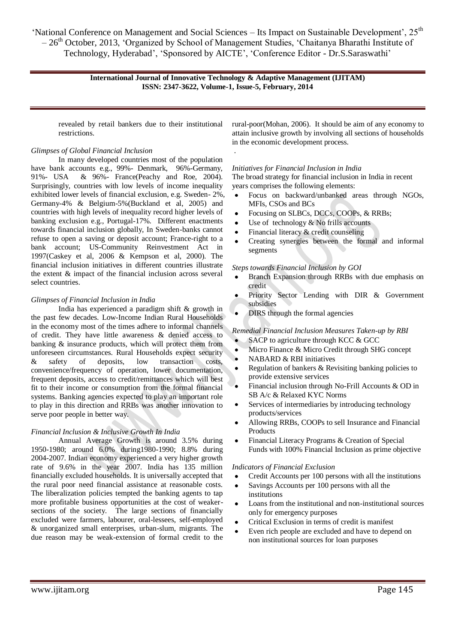### **International Journal of Innovative Technology & Adaptive Management (IJITAM) ISSN: 2347-3622, Volume-1, Issue-5, February, 2014**

.

revealed by retail bankers due to their institutional restrictions.

# *Glimpses of Global Financial Inclusion*

In many developed countries most of the population have bank accounts e.g., 99%- Denmark, 96%-Germany, 91%- USA & 96%- France(Peachy and Roe, 2004). Surprisingly, countries with low levels of income inequality exhibited lower levels of financial exclusion, e.g. Sweden- 2%, Germany-4% & Belgium-5%(Buckland et al, 2005) and countries with high levels of inequality record higher levels of banking exclusion e.g., Portugal-17%. Different enactments towards financial inclusion globally, In Sweden-banks cannot refuse to open a saving or deposit account; France-right to a bank account; US-Community Reinvestment Act in 1997(Caskey et al, 2006 & Kempson et al, 2000). The financial inclusion initiatives in different countries illustrate the extent & impact of the financial inclusion across several select countries.

### *Glimpses of Financial Inclusion in India*

India has experienced a paradigm shift & growth in the past few decades. Low-Income Indian Rural Households in the economy most of the times adhere to informal channels of credit. They have little awareness & denied access to banking & insurance products, which will protect them from unforeseen circumstances. Rural Households expect security & safety of deposits, low transaction costs, convenience/frequency of operation, lower documentation, frequent deposits, access to credit/remittances which will best fit to their income or consumption from the formal financial systems. Banking agencies expected to play an important role to play in this direction and RRBs was another innovation to serve poor people in better way.

### *Financial Inclusion & Inclusive Growth In India*

Annual Average Growth is around 3.5% during 1950-1980; around 6.0% during1980-1990; 8.8% during 2004-2007. Indian economy experienced a very higher growth rate of 9.6% in the year 2007. India has 135 million financially excluded households. It is universally accepted that the rural poor need financial assistance at reasonable costs. The liberalization policies tempted the banking agents to tap more profitable business opportunities at the cost of weakersections of the society. The large sections of financially excluded were farmers, labourer, oral-lessees, self-employed & unorganized small enterprises, urban-slum, migrants. The due reason may be weak-extension of formal credit to the rural-poor(Mohan, 2006). It should be aim of any economy to attain inclusive growth by involving all sections of households in the economic development process.

### *Initiatives for Financial Inclusion in India*

The broad strategy for financial inclusion in India in recent years comprises the following elements:

- Focus on backward/unbanked areas through NGOs, MFIs, CSOs and BCs
- Focusing on SLBCs, DCCs, COOPs, & RRBs;
- Use of technology  $&$  No frills accounts
- Financial literacy & credit counseling
- Creating synergies between the formal and informal segments

### *Steps towards Financial Inclusion by GOI*

- Branch Expansion through RRBs with due emphasis on credit
- Priority Sector Lending with DIR & Government subsidies
- DIRS through the formal agencies

### *Remedial Financial Inclusion Measures Taken-up by RBI*

- SACP to agriculture through KCC & GCC
- Micro Finance & Micro Credit through SHG concept
- NABARD & RBI initiatives
- Regulation of bankers & Revisiting banking policies to provide extensive services
- Financial inclusion through No-Frill Accounts & OD in SB A/c & Relaxed KYC Norms
- Services of intermediaries by introducing technology products/services
- Allowing RRBs, COOPs to sell Insurance and Financial Products
- Financial Literacy Programs & Creation of Special Funds with 100% Financial Inclusion as prime objective

### *Indicators of Financial Exclusion*

- Credit Accounts per 100 persons with all the institutions
- Savings Accounts per 100 persons with all the institutions
- Loans from the institutional and non-institutional sources only for emergency purposes
- Critical Exclusion in terms of credit is manifest
- Even rich people are excluded and have to depend on non institutional sources for loan purposes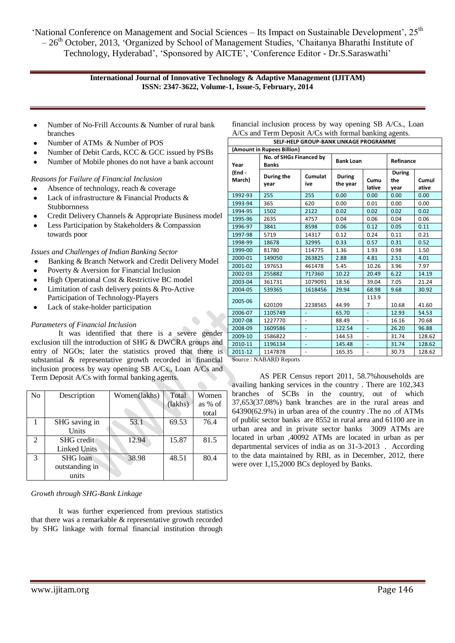### **International Journal of Innovative Technology & Adaptive Management (IJITAM) ISSN: 2347-3622, Volume-1, Issue-5, February, 2014**

- Number of No-Frill Accounts & Number of rural bank  $\bullet$ branches
- Number of ATMs & Number of POS
- Number of Debit Cards, KCC & GCC issued by PSBs
- Number of Mobile phones do not have a bank account

*Reasons for Failure of Financial Inclusion*

- Absence of technology, reach & coverage
- $\bullet$ Lack of infrastructure & Financial Products & Stubbornness
- Credit Delivery Channels & Appropriate Business model
- Less Participation by Stakeholders & Compassion towards poor

*Issues and Challenges of Indian Banking Sector*

- Banking & Branch Network and Credit Delivery Model
- Poverty & Aversion for Financial Inclusion
- High Operational Cost & Restrictive BC model Limitation of cash delivery points & Pro-Active
- Participation of Technology-Players
- Lack of stake-holder participation

# *Parameters of Financial Inclusion*

It was identified that there is a severe gender exclusion till the introduction of SHG & DWCRA groups and entry of NGOs; later the statistics proved that there is substantial & representative growth recorded in financial inclusion process by way opening SB A/Cs., Loan A/Cs and Term Deposit A/Cs with formal banking agents.

| No            | Description         | Women(lakhs) | Total   | Women   |
|---------------|---------------------|--------------|---------|---------|
|               |                     |              | (lakhs) | as % of |
|               |                     |              |         | total   |
|               | SHG saving in       | 53.1         | 69.53   | 76.4    |
|               | Units               |              |         |         |
| $\mathcal{L}$ | <b>SHG</b> credit   | 12.94        | 15.87   | 81.5    |
|               | <b>Linked Units</b> |              |         |         |
| $\mathcal{R}$ | SHG loan            | 38.98        | 48.51   | 80.4    |
|               | outstanding in      |              |         |         |
|               | units               |              |         |         |

# *Growth through SHG-Bank Linkage*

It was further experienced from previous statistics that there was a remarkable & representative growth recorded by SHG linkage with formal financial institution through

| CELE LIELD CROLID RANIV LINIVACE DROCRAMME                |  |  |  |  |  |  |  |
|-----------------------------------------------------------|--|--|--|--|--|--|--|
| A/Cs and Term Deposit A/Cs with formal banking agents.    |  |  |  |  |  |  |  |
| financial inclusion process by way opening SB A/Cs., Loan |  |  |  |  |  |  |  |

| JEE HIEF ONOOF DAINN EINNAOL FNOONAININIE<br>(Amount in Rupees Billion) |                                         |                          |                           |                              |                              |                |
|-------------------------------------------------------------------------|-----------------------------------------|--------------------------|---------------------------|------------------------------|------------------------------|----------------|
| Year                                                                    | No. of SHGs Financed by<br><b>Banks</b> |                          | <b>Bank Loan</b>          |                              | Refinance                    |                |
| (End-<br>March)                                                         | During the<br>year                      | Cumulat<br>ive           | <b>During</b><br>the year | Cumu<br>lative               | <b>During</b><br>the<br>year | Cumul<br>ative |
| 1992-93                                                                 | 255                                     | 255                      | 0.00                      | 0.00                         | 0.00                         | 0.00           |
| 1993-94                                                                 | 365                                     | 620                      | 0.00                      | 0.01                         | 0.00                         | 0.00           |
| 1994-95                                                                 | 1502                                    | 2122                     | 0.02                      | 0.02                         | 0.02                         | 0.02           |
| 1995-96                                                                 | 2635                                    | 4757                     | 0.04                      | 0.06                         | 0.04                         | 0.06           |
| 1996-97                                                                 | 3841                                    | 8598                     | 0.06                      | 0.12                         | 0.05                         | 0.11           |
| 1997-98                                                                 | 5719                                    | 14317                    | 0.12                      | 0.24                         | 0.11                         | 0.21           |
| 1998-99                                                                 | 18678                                   | 32995                    | 0.33                      | 0.57                         | 0.31                         | 0.52           |
| 1999-00                                                                 | 81780                                   | 114775                   | 1.36                      | 1.93                         | 0.98                         | 1.50           |
| 2000-01                                                                 | 149050                                  | 263825                   | 2.88                      | 4.81                         | 2.51                         | 4.01           |
| 2001-02                                                                 | 197653                                  | 461478                   | 5.45                      | 10.26                        | 3.96                         | 7.97           |
| 2002-03                                                                 | 255882                                  | 717360                   | 10.22                     | 20.49                        | 6.22                         | 14.19          |
| 2003-04                                                                 | 361731                                  | 1079091                  | 18.56                     | 39.04                        | 7.05                         | 21.24          |
| 2004-05                                                                 | 539365                                  | 1618456                  | 29.94                     | 68.98                        | 9.68                         | 30.92          |
| 2005-06                                                                 | 620109                                  | 2238565                  | 44.99                     | 113.9<br>7                   | 10.68                        | 41.60          |
| 2006-07                                                                 | 1105749                                 | ٠                        | 65.70                     | ÷,                           | 12.93                        | 54.53          |
| 2007-08                                                                 | 1227770                                 | $\blacksquare$           | 88.49                     | L.                           | 16.16                        | 70.68          |
| 2008-09                                                                 | 1609586                                 | ä,                       | 122.54                    | $\Box$                       | 26.20                        | 96.88          |
| 2009-10                                                                 | 1586822                                 | ÷,                       | 144.53                    | $\qquad \qquad \blacksquare$ | 31.74                        | 128.62         |
| 2010-11                                                                 | 1196134                                 |                          | 145.48                    | ÷,                           | 31.74                        | 128.62         |
| 2011-12                                                                 | 1147878                                 | $\overline{\phantom{a}}$ | 165.35                    | ÷,                           | 30.73                        | 128.62         |
| Source: NABARD Reports                                                  |                                         |                          |                           |                              |                              |                |

AS PER Census report 2011, 58.7%households are availing banking services in the country . There are 102,343 branches of SCBs in the country, out of which 37,653(37.08%) bank branches are in the rural areas and 64390(62.9%) in urban area of the country .The no .of ATMs of public sector banks are 8552 in rural area and 61100 are in urban area and in private sector banks 3009 ATMs are located in urban ,40092 ATMs are located in urban as per departmental services of india as on 31-3-2013 . According to the data maintained by RBI, as in December, 2012, there were over 1,15,2000 BCs deployed by Banks.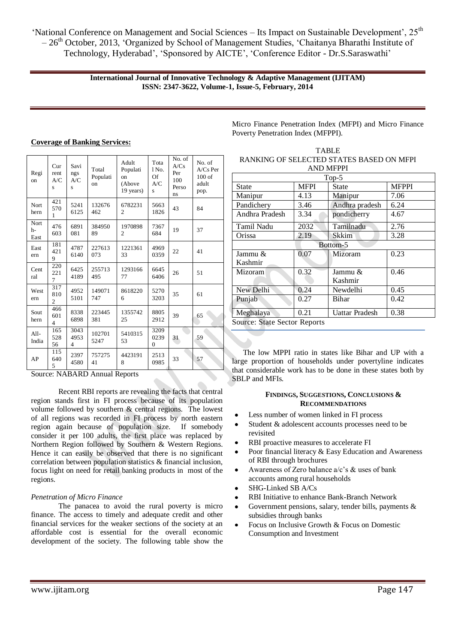> **International Journal of Innovative Technology & Adaptive Management (IJITAM) ISSN: 2347-3622, Volume-1, Issue-5, February, 2014**

| Regi<br>on         | Cur<br>rent<br>A/C<br>S      | Savi<br>ngs<br>A/C<br>S | Total<br>Populati<br>on | Adult<br>Populati<br>on<br>(Above<br>19 years) | Tota<br>1 No.<br>Of<br>A/C<br>S | No. of<br>A/Cs<br>Per<br>100<br>Perso<br>ns | No. of<br>$A/Cs$ Per<br>100 <sub>of</sub><br>adult<br>pop. |
|--------------------|------------------------------|-------------------------|-------------------------|------------------------------------------------|---------------------------------|---------------------------------------------|------------------------------------------------------------|
| Nort<br>hern       | 421<br>570<br>1              | 5241<br>6125            | 132676<br>462           | 6782231<br>2                                   | 5663<br>1826                    | 43                                          | 84                                                         |
| Nort<br>h-<br>East | 476<br>603                   | 6891<br>081             | 384950<br>89            | 1970898<br>2                                   | 7367<br>684                     | 19                                          | 37                                                         |
| East<br>ern        | 181<br>421<br>9              | 4787<br>6140            | 227613<br>073           | 1221361<br>33                                  | 4969<br>0359                    | 22                                          | 41                                                         |
| Cent<br>ral        | 220<br>221<br>7              | 6425<br>4189            | 255713<br>495           | 1293166<br>77                                  | 6645<br>6406                    | 26                                          | 51                                                         |
| West<br>ern        | 317<br>810<br>2              | 4952<br>5101            | 149071<br>747           | 8618220<br>6                                   | 5270<br>3203                    | 35                                          | 61                                                         |
| Sout<br>hern       | 466<br>601<br>$\overline{4}$ | 8338<br>6898            | 223445<br>381           | 1355742<br>25                                  | 8805<br>2912                    | 39                                          | 65                                                         |
| $All-$<br>India    | 165<br>528<br>56             | 3043<br>4953<br>4       | 102701<br>5247          | 5410315<br>53                                  | 3209<br>0239<br>$\theta$        | 31                                          | 59                                                         |
| AP                 | 115<br>640<br>5              | 2397<br>4580            | 757275<br>41            | 4423191<br>8                                   | 2513<br>0985                    | 33                                          | 57                                                         |

**Coverage of Banking Services:**

Source: NABARD Annual Reports

Recent RBI reports are revealing the facts that central region stands first in FI process because of its population volume followed by southern & central regions. The lowest of all regions was recorded in FI process by north eastern region again because of population size. If somebody consider it per 100 adults, the first place was replaced by Northern Region followed by Southern & Western Regions. Hence it can easily be observed that there is no significant correlation between population statistics & financial inclusion, focus light on need for retail banking products in most of the regions.

# *Penetration of Micro Finance*

The panacea to avoid the rural poverty is micro finance. The access to timely and adequate credit and other financial services for the weaker sections of the society at an affordable cost is essential for the overall economic development of the society. The following table show the

Micro Finance Penetration Index (MFPI) and Micro Finance Poverty Penetration Index (MFPPI).

TABLE RANKING OF SELECTED STATES BASED ON MFPI

| <b>AND MFPPI</b>              |      |                               |              |  |  |  |
|-------------------------------|------|-------------------------------|--------------|--|--|--|
| $Top-5$                       |      |                               |              |  |  |  |
| <b>MFPI</b><br>State<br>State |      |                               | <b>MFPPI</b> |  |  |  |
| Manipur                       | 4.13 | Manipur                       | 7.06         |  |  |  |
| Pandichery                    | 3.46 | Andhra pradesh                | 6.24         |  |  |  |
| Andhra Pradesh                | 3.34 | pondicherry                   | 4.67         |  |  |  |
| Tamil Nadu                    | 2032 | Tamilnadu                     | 2.76         |  |  |  |
| 2.19<br>Orissa                |      | Skkim                         | 3.28         |  |  |  |
| Bottom-5                      |      |                               |              |  |  |  |
| Jammu &                       | 0.07 | 0.23<br>Mizoram               |              |  |  |  |
| Kashmir                       |      |                               |              |  |  |  |
| Mizoram                       | 0.32 | Jammu &                       | 0.46         |  |  |  |
|                               |      | Kashmir                       |              |  |  |  |
| New Delhi                     | 0.24 | Newdelhi                      | 0.45         |  |  |  |
| Punjab                        | 0.27 | Bihar                         | 0.42         |  |  |  |
| 0.21<br>Meghalaya             |      | <b>Uattar Pradesh</b><br>0.38 |              |  |  |  |
| Source: State Sector Reports  |      |                               |              |  |  |  |

The low MPPI ratio in states like Bihar and UP with a large proportion of households under povertyline indicates that considerable work has to be done in these states both by SBLP and MFIs.

### **FINDINGS, SUGGESTIONS, CONCLUSIONS & RECOMMENDATIONS**

- Less number of women linked in FI process
- Student & adolescent accounts processes need to be revisited
- RBI proactive measures to accelerate FI
- Poor financial literacy & Easy Education and Awareness of RBI through brochures
- Awareness of Zero balance a/c's & uses of bank accounts among rural households
- SHG-Linked SB A/Cs
- RBI Initiative to enhance Bank-Branch Network
- Government pensions, salary, tender bills, payments &  $\bullet$ subsidies through banks
- Focus on Inclusive Growth & Focus on Domestic Consumption and Investment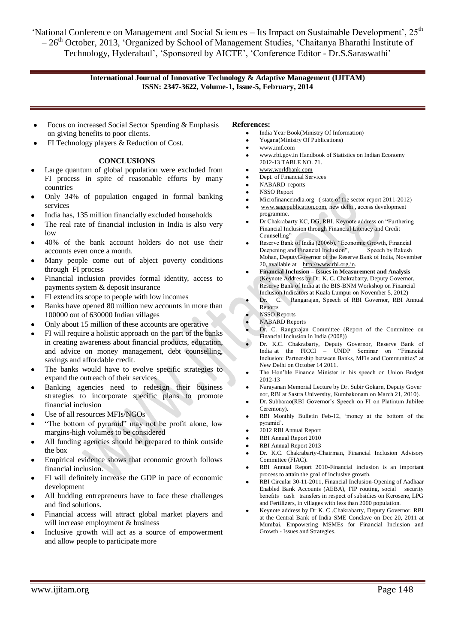# **International Journal of Innovative Technology & Adaptive Management (IJITAM) ISSN: 2347-3622, Volume-1, Issue-5, February, 2014**

- Focus on increased Social Sector Spending & Emphasis on giving benefits to poor clients.
- FI Technology players & Reduction of Cost.

# **CONCLUSIONS**

- Large quantum of global population were excluded from FI process in spite of reasonable efforts by many countries
- Only 34% of population engaged in formal banking services
- India has, 135 million financially excluded households
- The real rate of financial inclusion in India is also very  $\log$
- 40% of the bank account holders do not use their accounts even once a month.
- Many people come out of abject poverty conditions through FI process
- Financial inclusion provides formal identity, access to payments system & deposit insurance
- FI extend its scope to people with low incomes
- Banks have opened 80 million new accounts in more than 100000 out of 630000 Indian villages
- Only about 15 million of these accounts are operative
- FI will require a holistic approach on the part of the banks in creating awareness about financial products, education, and advice on money management, debt counselling, savings and affordable credit.
- The banks would have to evolve specific strategies to expand the outreach of their services
- Banking agencies need to redesign their business strategies to incorporate specific plans to promote financial inclusion
- Use of all resources MFIs/NGOs
- "The bottom of pyramid" may not be profit alone, low margins-high volumes to be considered
- All funding agencies should be prepared to think outside the box
- Empirical evidence shows that economic growth follows financial inclusion.
- FI will definitely increase the GDP in pace of economic development
- All budding entrepreneurs have to face these challenges and find solutions.
- Financial access will attract global market players and will increase employment & business
- Inclusive growth will act as a source of empowerment and allow people to participate more

#### **References:**

- India Year Book(Ministry Of Information)
- Yogana(Ministry Of Publications)  $\bullet$
- www.imf.com
- $\bullet$ [www.rbi.gov.in](http://www.rbi.gov.in/) Handbook of Statistics on Indian Economy 2012-13 TABLE NO. 71.
- [www.worldbank.com](http://www.worldbank.com/)
- Dept. of Financial Services
- NABARD reports
- NSSO Report
- Microfinanceindia.org ( state of the sector report 2011-2012)
- [www.sagepublication.com,](http://www.sagepublication.com/) new delhi , access development programme.
- Dr Chakrabarty KC, DG, RBI. Keynote address on "Furthering" Financial Inclusion through Financial Literacy and Credit Counselling'
- Reserve Bank of India (2006b), "Economic Growth, Financial Deepening and Financial Inclusion", Speech by Rakesh Mohan, DeputyGovernor of the Reserve Bank of India, November 20, available at [http://www.rbi.org.in.](http://www.rbi.org.in/)
- **Financial Inclusion – Issues in Measurement and Analysis**  (Keynote Address by Dr. K. C. Chakrabarty, Deputy Governor, Reserve Bank of India at the BIS-BNM Workshop on Financial Inclusion Indicators at Kuala Lumpur on November 5, 2012)
- Dr. C. Rangarajan, Speech of RBI Governor, RBI Annual Reports
- NSSO Reports
- NABARD Reports
- Dr. C. Rangarajan Committee (Report of the Committee on Financial Inclusion in India (2008))
- Dr. K.C. Chakrabarty, Deputy Governor, Reserve Bank of India at the FICCI – UNDP Seminar on "Financial Inclusion: Partnership between Banks, MFIs and Communities" at New Delhi on October 14 2011.
- The Hon'ble Finance Minister in his speech on Union Budget 2012-13
- Narayanan Memorial Lecture by Dr. Subir Gokarn, Deputy Gover nor, RBI at Sastra University, Kumbakonam on March 21, 2010).
- Dr. Subbarao(RBI Governor's Speech on FI on Platinum Jubilee Ceremony).
- RBI Monthly Bulletin Feb-12, 'money at the bottom of the pyramid'.
- 2012 RBI Annual Report
- RBI Annual Report 2010
- RBI Annual Report 2013
- Dr. K.C. Chakrabarty-Chairman, Financial Inclusion Advisory Committee (FIAC).
- RBI Annual Report 2010-Financial inclusion is an important process to attain the goal of inclusive growth.
- RBI Circular 30-11-2011, Financial Inclusion-Opening of Aadhaar Enabled Bank Accounts (AEBA), FIP routing, social security benefits cash transfers in respect of subsidies on Kerosene, LPG and Fertilizers, in villages with less than 2000 population.
- Keynote address by Dr K. C .Chakrabarty, Deputy Governor, RBI at the Central Bank of India SME Conclave on Dec 20, 2011 at Mumbai. Empowering MSMEs for Financial Inclusion and Growth - Issues and Strategies.